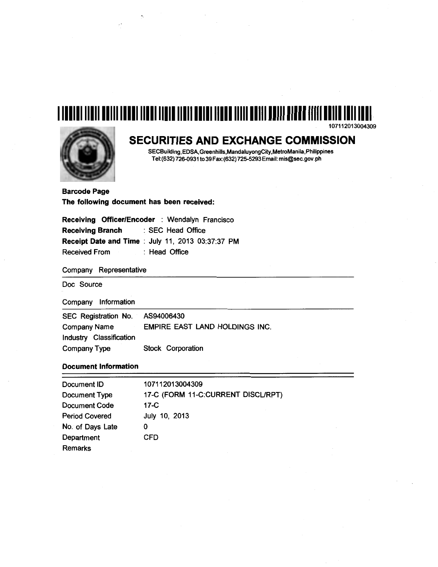# **1111111111111111111111111111111111111111111111111111111111111111111111111111111111111**  107112013004309



## **SECURITIES AND EXCHANGE COMMISSION**

SECBuilding, EDSA, Greenhills,MandaluyongCity,MetroManila,Philippines Tel:(632) 726-0931 to 39 Fax:(632) 725-5293Email: mis@sec.gov.ph

Barcode Page The following document has been received:

Receiving Officer/Encoder : Wendalyn Francisco Receiving Branch : SEC Head Office Receipt Date and Time : July 11, 2013 03:37:37 PM Received From : Head Office

Company Representative

Doc Source

Company Information

| SEC Registration No. AS94006430 |                                       |
|---------------------------------|---------------------------------------|
| Company Name                    | <b>EMPIRE EAST LAND HOLDINGS INC.</b> |
| Industry Classification         |                                       |
| Company Type                    | Stock Corporation                     |

## Document Information

| Document ID           | 107112013004309                    |
|-----------------------|------------------------------------|
| Document Type         | 17-C (FORM 11-C:CURRENT DISCL/RPT) |
| <b>Document Code</b>  | $17-C$                             |
| <b>Period Covered</b> | July 10, 2013                      |
| No. of Days Late      | 0                                  |
| Department            | <b>CFD</b>                         |
| <b>Remarks</b>        |                                    |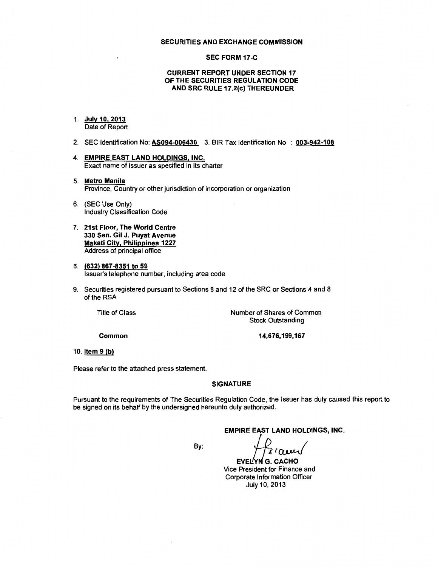#### SECURITIES AND EXCHANGE COMMISSION

#### SEC FORM 17 -C

### CURRENT REPORT UNDER SECTION 17 OF THE SECURITIES REGULATION CODE AND SRC RULE 17.2(c) THEREUNDER

- 1. July 10, 2013 Date of Report
- 2. SEC Identification No: AS094-006430 3. SIR Tax Identification No : 003-942-108
- 4. EMPIRE EAST LAND HOLDINGS, INC. Exact name of issuer as specified in its charter
- 5. Metro Manila Province, Country or other jurisdiction of incorporation or organization
- 6. (SEC Use Only) Industry Classification Code
- 7. 21st Floor, The World Centre 330 Sen. Gil J. Puyat Avenue Makati City, Philippines 1227 Address of principal office
- 8. (632) 867-8351 to 59 Issuer's telephone number, including area code
- 9. Securities registered pursuant to Sections 8 and 12 of the SRC or Sections 4 and 8 of the RSA

Title of Class

Number of Shares of Common Stock Outstanding

Common

14,676,199,167

10. Item 9 (b)

Please refer to the attached press statement.

### **SIGNATURE**

Pursuant to the requirements of The Securities Regulation Code, the Issuer has duly caused this report to be signed on its behalf by the undersigned hereunto duly authorized.

EMPIRE EAST LAND HOLDINGS, INC.<br>By:  $\begin{matrix} \mathcal{P} \\ \mathcal{P} \end{matrix}$   $\mathcal{R}$   $\alpha$   $\alpha$ 

EVELYNG. CACHO Vice President for Finance and Corporate Information Officer July 10, 2013